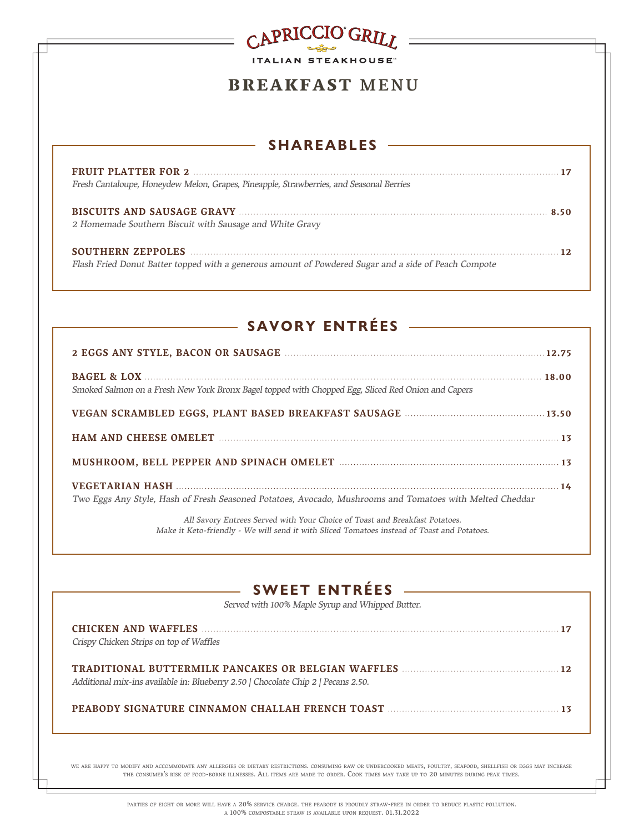# CAPRICCIO GRILL **ITALIAN STEAKHOUSE**

## BREAKFAST MENU

## $-$  SHAREABLES  $-$

| Fresh Cantaloupe, Honeydew Melon, Grapes, Pineapple, Strawberries, and Seasonal Berries              |  |
|------------------------------------------------------------------------------------------------------|--|
| 2 Homemade Southern Biscuit with Sausage and White Gravy                                             |  |
| Flash Fried Donut Batter topped with a generous amount of Powdered Sugar and a side of Peach Compote |  |

# SAVORY ENTRÉES

| Smoked Salmon on a Fresh New York Bronx Bagel topped with Chopped Egg, Sliced Red Onion and Capers       |  |
|----------------------------------------------------------------------------------------------------------|--|
|                                                                                                          |  |
|                                                                                                          |  |
|                                                                                                          |  |
| Two Eggs Any Style, Hash of Fresh Seasoned Potatoes, Avocado, Mushrooms and Tomatoes with Melted Cheddar |  |

All Savory Entrees Served with Your Choice of Toast and Breakfast Potatoes. Make it Keto-friendly - We will send it with Sliced Tomatoes instead of Toast and Potatoes.

## $-$  SWEET ENTRÉES  $-$

Served with 100% Maple Syrup and Whipped Butter.

| Crispy Chicken Strips on top of Waffles                                           |  |
|-----------------------------------------------------------------------------------|--|
| Additional mix-ins available in: Blueberry 2.50   Chocolate Chip 2   Pecans 2.50. |  |
|                                                                                   |  |

we are happy to modify and accommodate any allergies or dietary restrictions. consuming raw or undercooked meats, poultry, seafood, shellfish or eggs may increase the consumer's risk of food-borne illnesses. All items are made to order. Cook times may take up to 20 minutes during peak times.

> parties of eight or more will have a 20% service charge. the peabody is proudly straw-free in order to reduce plastic pollution. a 100% compostable straw is available upon request. 01.31.2022